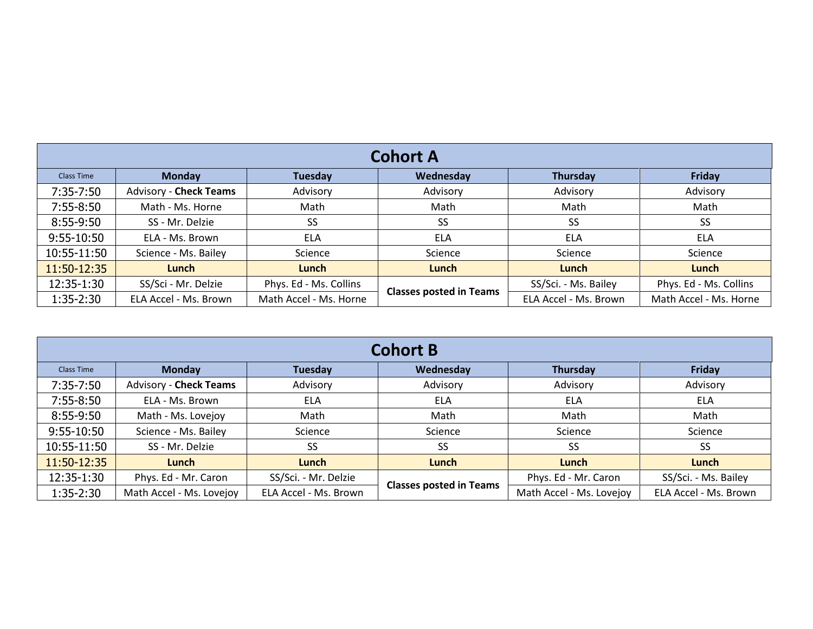| <b>Cohort A</b>   |                               |                        |                                |                       |                        |  |
|-------------------|-------------------------------|------------------------|--------------------------------|-----------------------|------------------------|--|
| <b>Class Time</b> | <b>Monday</b>                 | Tuesday                | Wednesday                      | Thursday              | Friday                 |  |
| 7:35-7:50         | <b>Advisory - Check Teams</b> | Advisory               | Advisory                       | Advisory              | Advisory               |  |
| 7:55-8:50         | Math - Ms. Horne              | Math                   | Math                           | Math                  | Math                   |  |
| 8:55-9:50         | SS - Mr. Delzie               | SS                     | SS                             | SS                    | <b>SS</b>              |  |
| 9:55-10:50        | ELA - Ms. Brown               | <b>ELA</b>             | <b>ELA</b>                     | <b>ELA</b>            | <b>ELA</b>             |  |
| 10:55-11:50       | Science - Ms. Bailey          | Science                | Science                        | Science               | Science                |  |
| 11:50-12:35       | Lunch                         | Lunch                  | Lunch                          | Lunch                 | Lunch                  |  |
| 12:35-1:30        | SS/Sci - Mr. Delzie           | Phys. Ed - Ms. Collins | <b>Classes posted in Teams</b> | SS/Sci. - Ms. Bailey  | Phys. Ed - Ms. Collins |  |
| 1:35-2:30         | ELA Accel - Ms. Brown         | Math Accel - Ms. Horne |                                | ELA Accel - Ms. Brown | Math Accel - Ms. Horne |  |

| <b>Cohort B</b>   |                               |                       |                                |                          |                       |  |
|-------------------|-------------------------------|-----------------------|--------------------------------|--------------------------|-----------------------|--|
| <b>Class Time</b> | <b>Monday</b>                 | <b>Tuesday</b>        | Wednesday                      | Thursday                 | Friday                |  |
| 7:35-7:50         | <b>Advisory - Check Teams</b> | Advisory              | Advisory                       | Advisory                 | Advisory              |  |
| 7:55-8:50         | ELA - Ms. Brown               | <b>ELA</b>            | ELA                            | <b>ELA</b>               | <b>ELA</b>            |  |
| 8:55-9:50         | Math - Ms. Lovejoy            | Math                  | Math                           | Math                     | Math                  |  |
| 9:55-10:50        | Science - Ms. Bailey          | Science               | Science                        | Science                  | Science               |  |
| 10:55-11:50       | SS - Mr. Delzie               | SS.                   | SS                             | SS                       | SS                    |  |
| 11:50-12:35       | Lunch                         | Lunch                 | Lunch                          | Lunch                    | Lunch                 |  |
| 12:35-1:30        | Phys. Ed - Mr. Caron          | SS/Sci. - Mr. Delzie  | <b>Classes posted in Teams</b> | Phys. Ed - Mr. Caron     | SS/Sci. - Ms. Bailey  |  |
| 1:35-2:30         | Math Accel - Ms. Lovejoy      | ELA Accel - Ms. Brown |                                | Math Accel - Ms. Lovejoy | ELA Accel - Ms. Brown |  |